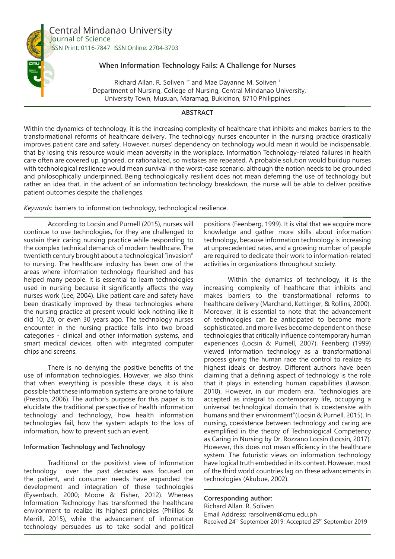

Central Mindanao University Journal of Science ISSN Print: 0116-7847 ISSN Online: 2704-3703

## **When Information Technology Fails: A Challenge for Nurses**

Richard Allan. R. Soliven<sup>1\*</sup> and Mae Dayanne M. Soliven<sup>1</sup> <sup>1</sup> Department of Nursing, College of Nursing, Central Mindanao University, University Town, Musuan, Maramag, Bukidnon, 8710 Philippines

## **ABSTRACT**

Within the dynamics of technology, it is the increasing complexity of healthcare that inhibits and makes barriers to the transformational reforms of healthcare delivery. The technology nurses encounter in the nursing practice drastically improves patient care and safety. However, nurses' dependency on technology would mean it would be indispensable, that by losing this resource would mean adversity in the workplace. Information Technology-related failures in health care often are covered up, ignored, or rationalized, so mistakes are repeated. A probable solution would buildup nurses with technological resilience would mean survival in the worst-case scenario, although the notion needs to be grounded and philosophically underpinned. Being technologically resilient does not mean deferring the use of technology but rather an idea that, in the advent of an information technology breakdown, the nurse will be able to deliver positive patient outcomes despite the challenges.

*Keywords*: barriers to information technology, technological resilience.

According to Locsin and Purnell (2015), nurses will continue to use technologies, for they are challenged to sustain their caring nursing practice while responding to the complex technical demands of modern healthcare. The twentieth century brought about a technological "invasion" to nursing. The healthcare industry has been one of the areas where information technology flourished and has helped many people. It is essential to learn technologies used in nursing because it significantly affects the way nurses work (Lee, 2004). Like patient care and safety have been drastically improved by these technologies where the nursing practice at present would look nothing like it did 10, 20, or even 30 years ago. The technology nurses encounter in the nursing practice falls into two broad categories - clinical and other information systems, and smart medical devices, often with integrated computer chips and screens.

There is no denying the positive benefits of the use of information technologies. However, we also think that when everything is possible these days, it is also possible that these information systems are prone to failure (Preston, 2006). The author's purpose for this paper is to elucidate the traditional perspective of health information technology and technology, how health information technologies fail, how the system adapts to the loss of information, how to prevent such an event.

### **Information Technology and Technology**

Traditional or the positivist view of Information technology over the past decades was focused on the patient, and consumer needs have expanded the development and integration of these technologies (Eysenbach, 2000; Moore & Fisher, 2012). Whereas Information Technology has transformed the healthcare environment to realize its highest principles (Phillips & Merrill, 2015), while the advancement of information technology persuades us to take social and political

positions (Feenberg, 1999). It is vital that we acquire more knowledge and gather more skills about information technology, because information technology is increasing at unprecedented rates, and a growing number of people are required to dedicate their work to information-related activities in organizations throughout society.

Within the dynamics of technology, it is the increasing complexity of healthcare that inhibits and makes barriers to the transformational reforms to healthcare delivery (Marchand, Kettinger, & Rollins, 2000). Moreover, it is essential to note that the advancement of technologies can be anticipated to become more sophisticated, and more lives become dependent on these technologies that critically influence contemporary human experiences (Locsin & Purnell, 2007). Feenberg (1999) viewed information technology as a transformational process giving the human race the control to realize its highest ideals or destroy. Different authors have been claiming that a defining aspect of technology is the role that it plays in extending human capabilities (Lawson, 2010). However, in our modern era, "technologies are accepted as integral to contemporary life, occupying a universal technological domain that is coextensive with humans and their environment"(Locsin & Purnell, 2015). In nursing, coexistence between technology and caring are exemplified in the theory of Technological Competency as Caring in Nursing by Dr. Rozzano Locsin (Locsin, 2017). However, this does not mean efficiency in the healthcare system. The futuristic views on information technology have logical truth embedded in its context. However, most of the third world countries lag on these advancements in technologies (Akubue, 2002).

### **Corresponding author:**

Richard Allan. R. Soliven Email Address: rarsoliven@cmu.edu.ph Received 24th September 2019; Accepted 25th September 2019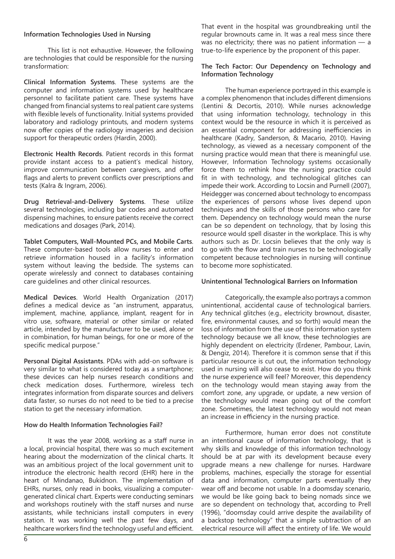### **Information Technologies Used in Nursing**

This list is not exhaustive. However, the following are technologies that could be responsible for the nursing transformation:

**Clinical Information Systems**. These systems are the computer and information systems used by healthcare personnel to facilitate patient care. These systems have changed from financial systems to real patient care systems with flexible levels of functionality. Initial systems provided laboratory and radiology printouts, and modern systems now offer copies of the radiology imageries and decision support for therapeutic orders (Hardin, 2000).

**Electronic Health Records**. Patient records in this format provide instant access to a patient's medical history, improve communication between caregivers, and offer flags and alerts to prevent conflicts over prescriptions and tests (Kalra & Ingram, 2006).

**Drug Retrieval-and-Delivery Systems**. These utilize several technologies, including bar codes and automated dispensing machines, to ensure patients receive the correct medications and dosages (Park, 2014).

**Tablet Computers, Wall-Mounted PCs, and Mobile Carts**. These computer-based tools allow nurses to enter and retrieve information housed in a facility's information system without leaving the bedside. The systems can operate wirelessly and connect to databases containing care guidelines and other clinical resources.

**Medical Devices**. World Health Organization (2017) defines a medical device as "an instrument, apparatus, implement, machine, appliance, implant, reagent for in vitro use, software, material or other similar or related article, intended by the manufacturer to be used, alone or in combination, for human beings, for one or more of the specific medical purpose."

**Personal Digital Assistants**. PDAs with add-on software is very similar to what is considered today as a smartphone; these devices can help nurses research conditions and check medication doses. Furthermore, wireless tech integrates information from disparate sources and delivers data faster, so nurses do not need to be tied to a precise station to get the necessary information.

### **How do Health Information Technologies Fail?**

It was the year 2008, working as a staff nurse in a local, provincial hospital, there was so much excitement hearing about the modernization of the clinical charts. It was an ambitious project of the local government unit to introduce the electronic health record (EHR) here in the heart of Mindanao, Bukidnon. The implementation of EHRs, nurses, only read in books, visualizing a computergenerated clinical chart. Experts were conducting seminars and workshops routinely with the staff nurses and nurse assistants, while technicians install computers in every station. It was working well the past few days, and healthcare workers find the technology useful and efficient. That event in the hospital was groundbreaking until the regular brownouts came in. It was a real mess since there was no electricity; there was no patient information  $-$  a true-to-life experience by the proponent of this paper.

## **The Tech Factor: Our Dependency on Technology and Information Technology**

The human experience portrayed in this example is a complex phenomenon that includes different dimensions (Lentini & Decortis, 2010). While nurses acknowledge that using information technology, technology in this context would be the resource in which it is perceived as an essential component for addressing inefficiencies in healthcare (Kadry, Sanderson, & Macario, 2010). Having technology, as viewed as a necessary component of the nursing practice would mean that there is meaningful use. However, Information Technology systems occasionally force them to rethink how the nursing practice could fit in with technology, and technological glitches can impede their work. According to Locsin and Purnell (2007), Heidegger was concerned about technology to encompass the experiences of persons whose lives depend upon techniques and the skills of those persons who care for them. Dependency on technology would mean the nurse can be so dependent on technology, that by losing this resource would spell disaster in the workplace. This is why authors such as Dr. Locsin believes that the only way is to go with the flow and train nurses to be technologically competent because technologies in nursing will continue to become more sophisticated.

# **Unintentional Technological Barriers on Information**

Categorically, the example also portrays a common unintentional, accidental cause of technological barriers. Any technical glitches (e.g., electricity brownout, disaster, fire, environmental causes, and so forth) would mean the loss of information from the use of this information system technology because we all know, these technologies are highly dependent on electricity (Erdener, Pambour, Lavin, & Dengiz, 2014). Therefore it is common sense that if this particular resource is cut out, the information technology used in nursing will also cease to exist. How do you think the nurse experience will feel? Moreover, this dependency on the technology would mean staying away from the comfort zone, any upgrade, or update, a new version of the technology would mean going out of the comfort zone. Sometimes, the latest technology would not mean an increase in efficiency in the nursing practice.

Furthermore, human error does not constitute an intentional cause of information technology, that is why skills and knowledge of this information technology should be at par with its development because every upgrade means a new challenge for nurses. Hardware problems, machines, especially the storage for essential data and information, computer parts eventually they wear off and become not usable. In a doomsday scenario, we would be like going back to being nomads since we are so dependent on technology that, according to Prell (1996), "doomsday could arrive despite the availability of a backstop technology" that a simple subtraction of an electrical resource will affect the entirety of life. We would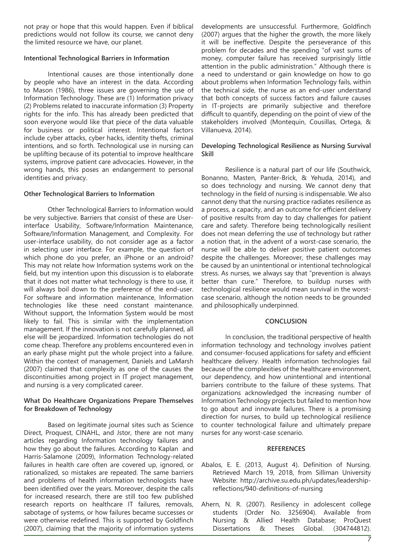not pray or hope that this would happen. Even if biblical predictions would not follow its course, we cannot deny the limited resource we have, our planet.

### **Intentional Technological Barriers in Information**

Intentional causes are those intentionally done by people who have an interest in the data. According to Mason (1986), three issues are governing the use of Information Technology. These are (1) Information privacy (2) Problems related to inaccurate information (3) Property rights for the info. This has already been predicted that soon everyone would like that piece of the data valuable for business or political interest. Intentional factors include cyber attacks, cyber hacks, identity thefts, criminal intentions, and so forth. Technological use in nursing can be uplifting because of its potential to improve healthcare systems, improve patient care advocacies. However, in the wrong hands, this poses an endangerment to personal identities and privacy.

### **Other Technological Barriers to Information**

Other Technological Barriers to Information would be very subjective. Barriers that consist of these are Userinterface Usability, Software/Information Maintenance, Software/Information Management, and Complexity. For user-interface usability, do not consider age as a factor in selecting user interface. For example, the question of which phone do you prefer, an iPhone or an android? This may not relate how Information systems work on the field, but my intention upon this discussion is to elaborate that it does not matter what technology is there to use, it will always boil down to the preference of the end-user. For software and information maintenance, Information technologies like these need constant maintenance. Without support, the Information System would be most likely to fail. This is similar with the implementation management. If the innovation is not carefully planned, all else will be jeopardized. Information technologies do not come cheap. Therefore any problems encountered even in an early phase might put the whole project into a failure. Within the context of management, Daniels and LaMarsh (2007) claimed that complexity as one of the causes the discontinuities among project in IT project management, and nursing is a very complicated career.

### **What Do Healthcare Organizations Prepare Themselves for Breakdown of Technology**

Based on legitimate journal sites such as Science Direct, Proquest, CINAHL, and Jstor, there are not many articles regarding Information technology failures and how they go about the failures. According to Kaplan and Harris-Salamone (2009), Information Technology-related failures in health care often are covered up, ignored, or rationalized, so mistakes are repeated. The same barriers and problems of health information technologists have been identified over the years. Moreover, despite the calls for increased research, there are still too few published research reports on healthcare IT failures, removals, sabotage of systems, or how failures became successes or were otherwise redefined. This is supported by Goldfinch (2007), claiming that the majority of information systems

developments are unsuccessful. Furthermore, Goldfinch (2007) argues that the higher the growth, the more likely it will be ineffective. Despite the perseverance of this problem for decades and the spending "of vast sums of money, computer failure has received surprisingly little attention in the public administration." Although there is a need to understand or gain knowledge on how to go about problems when Information Technology fails, within the technical side, the nurse as an end-user understand that both concepts of success factors and failure causes in IT-projects are primarily subjective and therefore difficult to quantify, depending on the point of view of the stakeholders involved (Montequin, Cousillas, Ortega, & Villanueva, 2014).

#### **Developing Technological Resilience as Nursing Survival Skill**

Resilience is a natural part of our life (Southwick, Bonanno, Masten, Panter-Brick, & Yehuda, 2014), and so does technology and nursing. We cannot deny that technology in the field of nursing is indispensable. We also cannot deny that the nursing practice radiates resilience as a process, a capacity, and an outcome for efficient delivery of positive results from day to day challenges for patient care and safety. Therefore being technologically resilient does not mean deferring the use of technology but rather a notion that, in the advent of a worst-case scenario, the nurse will be able to deliver positive patient outcomes despite the challenges. Moreover, these challenges may be caused by an unintentional or intentional technological stress. As nurses, we always say that "prevention is always better than cure." Therefore, to buildup nurses with technological resilience would mean survival in the worstcase scenario, although the notion needs to be grounded and philosophically underpinned.

### **CONCLUSION**

In conclusion, the traditional perspective of health information technology and technology involves patient and consumer-focused applications for safety and efficient healthcare delivery. Health information technologies fail because of the complexities of the healthcare environment, our dependency, and how unintentional and intentional barriers contribute to the failure of these systems. That organizations acknowledged the increasing number of Information Technology projects but failed to mention how to go about and innovate failures. There is a promising direction for nurses, to build up technological resilience to counter technological failure and ultimately prepare nurses for any worst-case scenario.

### **REFERENCES**

- Abalos, E. E. (2013, August 4). Definition of Nursing. Retrieved March 19, 2018, from Silliman University Website: http://archive.su.edu.ph/updates/leadershipreflections/940-definitions-of-nursing
- Ahern, N. R. (2007). Resiliency in adolescent college students (Order No. 3256904). Available from Nursing & Allied Health Database; ProQuest Dissertations & Theses Global. (304744812).